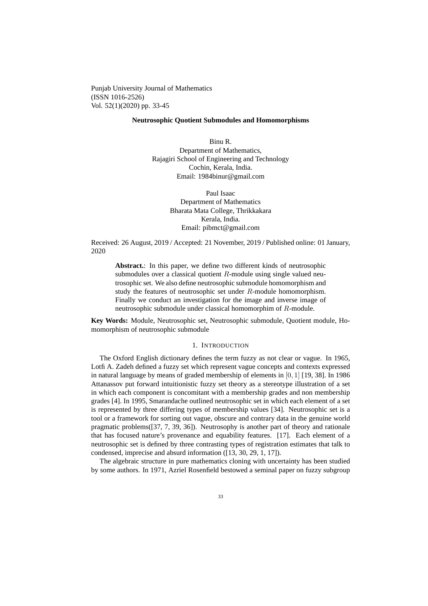Punjab University Journal of Mathematics (ISSN 1016-2526) Vol. 52(1)(2020) pp. 33-45

## **Neutrosophic Quotient Submodules and Homomorphisms**

Binu R. Department of Mathematics, Rajagiri School of Engineering and Technology Cochin, Kerala, India. Email: 1984binur@gmail.com

> Paul Isaac Department of Mathematics Bharata Mata College, Thrikkakara Kerala, India. Email: pibmct@gmail.com

Received: 26 August, 2019 / Accepted: 21 November, 2019 / Published online: 01 January, 2020

**Abstract.**: In this paper, we define two different kinds of neutrosophic submodules over a classical quotient  $R$ -module using single valued neutrosophic set. We also define neutrosophic submodule homomorphism and study the features of neutrosophic set under R-module homomorphism. Finally we conduct an investigation for the image and inverse image of neutrosophic submodule under classical homomorphim of R-module.

**Key Words:** Module, Neutrosophic set, Neutrosophic submodule, Quotient module, Homomorphism of neutrosophic submodule

### 1. INTRODUCTION

The Oxford English dictionary defines the term fuzzy as not clear or vague. In 1965, Lotfi A. Zadeh defined a fuzzy set which represent vague concepts and contexts expressed in natural language by means of graded membership of elements in [0, 1] [19, 38]. In 1986 Attanassov put forward intuitionistic fuzzy set theory as a stereotype illustration of a set in which each component is concomitant with a membership grades and non membership grades [4]. In 1995, Smarandache outlined neutrosophic set in which each element of a set is represented by three differing types of membership values [34]. Neutrosophic set is a tool or a framework for sorting out vague, obscure and contrary data in the genuine world pragmatic problems([37, 7, 39, 36]). Neutrosophy is another part of theory and rationale that has focused nature's provenance and equability features. [17]. Each element of a neutrosophic set is defined by three contrasting types of registration estimates that talk to condensed, imprecise and absurd information ([13, 30, 29, 1, 17]).

The algebraic structure in pure mathematics cloning with uncertainty has been studied by some authors. In 1971, Azriel Rosenfield bestowed a seminal paper on fuzzy subgroup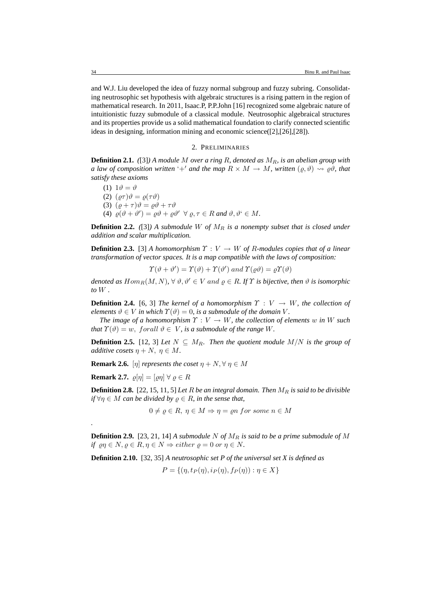and W.J. Liu developed the idea of fuzzy normal subgroup and fuzzy subring. Consolidating neutrosophic set hypothesis with algebraic structures is a rising pattern in the region of mathematical research. In 2011, Isaac.P, P.P.John [16] recognized some algebraic nature of intuitionistic fuzzy submodule of a classical module. Neutrosophic algebraical structures and its properties provide us a solid mathematical foundation to clarify connected scientific ideas in designing, information mining and economic science([2],[26],[28]).

### 2. PRELIMINARIES

**Definition 2.1.** ([3]) A module M over a ring R, denoted as  $M_R$ , is an abelian group with *a law of composition written* '+' *and the map*  $R \times M \rightarrow M$ *, written*  $(\varrho, \vartheta) \rightsquigarrow \varrho \vartheta$ *, that satisfy these axioms*

(1) 
$$
1\vartheta = \vartheta
$$
  
\n(2)  $(\varrho\tau)\vartheta = \varrho(\tau\vartheta)$   
\n(3)  $(\varrho + \tau)\vartheta = \varrho\vartheta + \tau\vartheta$   
\n(4)  $\varrho(\vartheta + \vartheta') = \varrho\vartheta + \varrho\vartheta' \ \forall \varrho, \tau \in R \text{ and } \vartheta, \vartheta' \in M$ .

**Definition 2.2.** ([3]) A submodule W of  $M_R$  is a nonempty subset that is closed under *addition and scalar multiplication.*

**Definition 2.3.** [3] *A homomorphism*  $\Upsilon: V \to W$  *of R*-modules copies that of a linear *transformation of vector spaces. It is a map compatible with the laws of composition:*

$$
\Upsilon(\vartheta + \vartheta') = \Upsilon(\vartheta) + \Upsilon(\vartheta') \text{ and } \Upsilon(\varrho\vartheta) = \varrho \Upsilon(\vartheta)
$$

*denoted as*  $Hom_R(M, N)$ ,  $\forall \theta, \theta' \in V$  and  $\varrho \in R$ . If  $\Upsilon$  *is bijective, then*  $\vartheta$  *is isomorphic to* W *.*

**Definition 2.4.** [6, 3] *The kernel of a homomorphism*  $\Upsilon : V \rightarrow W$ *, the collection of elements*  $\vartheta \in V$  *in which*  $\Upsilon(\vartheta) = 0$ *, is a submodule of the domain* V.

*The image of a homomorphism*  $\Upsilon : V \to W$ , the collection of elements w in W such *that*  $\Upsilon(\vartheta) = w$ , forall  $\vartheta \in V$ , *is a submodule of the range* W.

**Definition 2.5.** [12, 3] *Let*  $N \subseteq M_R$ *. Then the quotient module*  $M/N$  *is the group of additive cosets*  $\eta + N$ ,  $\eta \in M$ .

**Remark 2.6.** [η] *represents the coset*  $\eta + N$ ,  $\forall \eta \in M$ 

**Remark 2.7.**  $\varrho[\eta] = [\varrho \eta] \ \forall \ \varrho \in R$ 

*.*

**Definition 2.8.** [22, 15, 11, 5] *Let* R *be an integral domain. Then*  $M<sub>B</sub>$  *is said to be divisible if*  $\forall \eta \in M$  *can be divided by*  $\rho \in R$ *, in the sense that,* 

 $0 \neq \rho \in R$ ,  $\eta \in M \Rightarrow \eta = \rho n$  for some  $n \in M$ 

**Definition 2.9.** [23, 21, 14] *A submodule* N *of* M<sup>R</sup> *is said to be a prime submodule of* M *if*  $\varrho \eta \in N$ ,  $\varrho \in R$ ,  $\eta \in N \Rightarrow$  either  $\varrho = 0$  or  $\eta \in N$ .

**Definition 2.10.** [32, 35] *A neutrosophic set P of the universal set X is defined as*

$$
P = \{ (\eta, t_P(\eta), i_P(\eta), f_P(\eta)) : \eta \in X \}
$$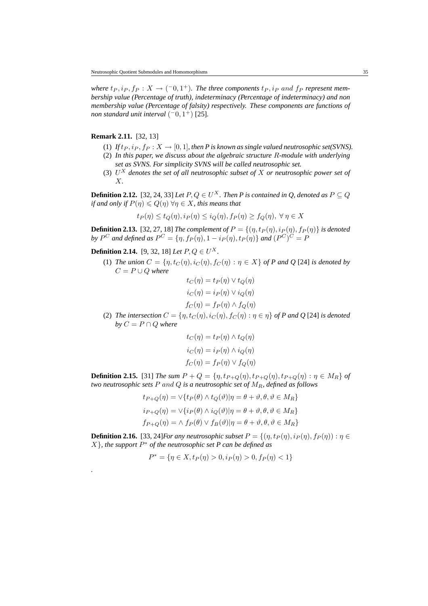*where*  $t_P, i_P, f_P: X \to (-0, 1^+)$ . The three components  $t_P, i_P$  and  $f_P$  represent mem*bership value (Percentage of truth), indeterminacy (Percentage of indeterminacy) and non membership value (Percentage of falsity) respectively. These components are functions of non standard unit interval*  $(-0, 1^+)$  [25].

# **Remark 2.11.** [32, 13]

*.*

- (1) *If*  $t_P$ ,  $i_P$ ,  $f_P$  :  $X \to [0, 1]$ , then *P* is known as single valued neutrosophic set(SVNS).
- (2) *In this paper, we discuss about the algebraic structure* R*-module with underlying set as SVNS. For simplicity SVNS will be called neutrosophic set.*
- (3) U <sup>X</sup> *denotes the set of all neutrosophic subset of* X *or neutrosophic power set of* X*.*

**Definition 2.12.** [32, 24, 33] *Let*  $P, Q \in U^X$ . *Then P is contained in Q, denoted as*  $P \subseteq Q$ *if and only if*  $P(\eta) \leq Q(\eta)$   $\forall \eta \in X$ *, this means that* 

$$
t_P(\eta) \le t_Q(\eta), i_P(\eta) \le i_Q(\eta), f_P(\eta) \ge f_Q(\eta), \ \forall \ \eta \in X
$$

**Definition 2.13.** [32, 27, 18] *The complement of*  $P = \{(\eta, t_P(\eta), i_P(\eta), f_P(\eta)\}\)$  *is denoted* by  $P^C$  and defined as  $P^C = \{ \eta, f_P(\eta), 1 - i_P(\eta), t_P(\eta) \}$  and  $(P^C)^C = P$ 

**Definition 2.14.** [9, 32, 18] *Let*  $P, Q \in U^X$ .

(1) *The union*  $C = \{\eta, t_C(\eta), i_C(\eta), f_C(\eta) : \eta \in X\}$  *of P and Q* [24] *is denoted by*  $C = P \cup Q$  *where* 

$$
t_C(\eta) = t_P(\eta) \lor t_Q(\eta)
$$
  

$$
i_C(\eta) = i_P(\eta) \lor i_Q(\eta)
$$
  

$$
f_C(\eta) = f_P(\eta) \land f_Q(\eta)
$$

(2) *The intersection*  $C = \{\eta, t_C(\eta), i_C(\eta), f_C(\eta) : \eta \in \eta\}$  *of* P and Q [24] *is denoted by*  $C = P \cap Q$  *where* 

$$
t_C(\eta) = t_P(\eta) \wedge t_Q(\eta)
$$

$$
i_C(\eta) = i_P(\eta) \wedge i_Q(\eta)
$$

$$
f_C(\eta) = f_P(\eta) \vee f_Q(\eta)
$$

**Definition 2.15.** [31] *The sum P + Q = {n, t<sub>P+Q</sub>(n), t<sub>P+Q</sub>(n), t<sub>P+Q</sub>(n) :*  $\eta \in M_R$ *} <i>of two neutrosophic sets* P and Q *is a neutrosophic set of* MR*, defined as follows*

$$
t_{P+Q}(\eta) = \vee \{ t_P(\theta) \wedge t_Q(\vartheta) | \eta = \theta + \vartheta, \theta, \vartheta \in M_R \}
$$
  
\n
$$
i_{P+Q}(\eta) = \vee \{ i_P(\theta) \wedge i_Q(\vartheta) | \eta = \theta + \vartheta, \theta, \vartheta \in M_R \}
$$
  
\n
$$
f_{P+Q}(\eta) = \wedge f_P(\theta) \vee f_B(\vartheta) | \eta = \theta + \vartheta, \theta, \vartheta \in M_R \}
$$

**Definition 2.16.** [33, 24]*For any neutrosophic subset*  $P = \{(\eta, t_P(\eta), i_P(\eta), f_P(\eta)) : \eta \in$  $X\}$ , the support  $P^*$  of the neutrosophic set P can be defined as

$$
P^* = \{ \eta \in X, t_P(\eta) > 0, i_P(\eta) > 0, f_P(\eta) < 1 \}
$$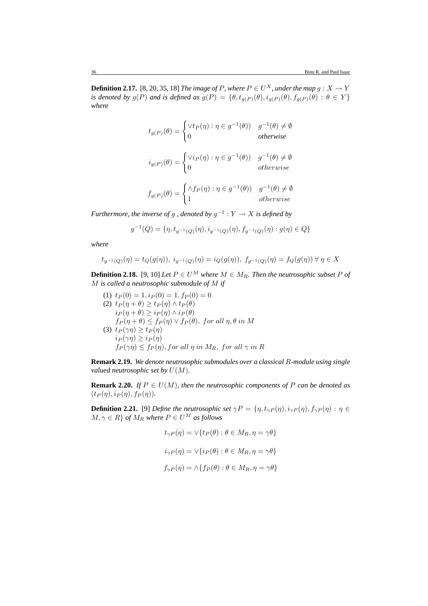**Definition 2.17.** [8, 20, 35, 18] *The image of P*, where  $P \in U^X$ , under the map  $g: X \to Y$ *is denoted by*  $g(P)$  *and is defined as*  $g(P) = \{ \theta, t_{g(P)}(\theta), i_{g(P)}(\theta), f_{g(P)}(\theta) : \theta \in Y \}$ *where*

$$
t_{g(P)}(\theta) = \begin{cases} \forall t_P(\eta) : \eta \in g^{-1}(\theta) & g^{-1}(\theta) \neq \emptyset \\ 0 & otherwise \end{cases}
$$
  

$$
i_{g(P)}(\theta) = \begin{cases} \forall i_P(\eta) : \eta \in g^{-1}(\theta) & g^{-1}(\theta) \neq \emptyset \\ 0 & otherwise \end{cases}
$$
  

$$
f_{g(P)}(\theta) = \begin{cases} \land f_P(\eta) : \eta \in g^{-1}(\theta) & g^{-1}(\theta) \neq \emptyset \\ 1 & otherwise \end{cases}
$$

*Furthermore, the inverse of g, denoted by*  $g^{-1}$  :  $Y \to X$  *is defined by* 

$$
g^{-1}(Q)=\{\eta, t_{g^{-1}(Q)}(\eta), i_{g^{-1}(Q)}(\eta), f_{g^{-1}(Q)}(\eta): g(\eta)\in Q\}
$$

*where*

$$
t_{g^{-1}(Q)}(\eta) = t_Q(g(\eta)), \ i_{g^{-1}(Q)}(\eta) = i_Q(g(\eta)), \ f_{g^{-1}(Q)}(\eta) = f_Q(g(\eta)) \ \forall \ \eta \in X
$$

**Definition 2.18.** [9, 10] *Let*  $P \in U^M$  *where*  $M \in M_R$ *. Then the neutrosophic subset*  $P$  *of* M *is called a neutrosophic submodule of* M *if*

(1)  $t_P(0) = 1$ ,  $i_P(0) = 1$ ,  $f_P(0) = 0$ (2)  $t_P(\eta + \theta) \ge t_P(\eta) \wedge t_P(\theta)$  $i_P(\eta + \theta) \geq i_P(\eta) \wedge i_P(\theta)$  $f_P(\eta + \theta) \le f_P(\eta) \vee f_P(\theta)$ , for all  $\eta, \theta$  in M (3)  $t_P(\gamma \eta) \ge t_P(\eta)$  $i_P(\gamma \eta) \geq i_P(\eta)$  $f_P(\gamma \eta) \leq f_P(\eta)$ , for all  $\eta$  in  $M_R$ , for all  $\gamma$  in  $R$ 

**Remark 2.19.** *We denote neutrosophic submodules over a classical* R*-module using single valued neutrosophic set by*  $U(M)$ *.* 

**Remark 2.20.** *If*  $P \in U(M)$ *, then the neutrosophic components of*  $P$  *can be denoted as*  $(t_P(\eta), i_P(\eta), f_P(\eta)).$ 

**Definition 2.21.** [9] *Define the neutrosophic set*  $\gamma P = \{\eta, t_{\gamma P}(\eta), i_{\gamma P}(\eta), f_{\gamma P}(\eta) : \eta \in$  $M, \gamma \in R$  *of*  $M_R$  *where*  $P \in U^M$  *as follows* 

$$
t_{\gamma P}(\eta) = \vee \{ t_P(\theta) : \theta \in M_R, \eta = \gamma \theta \}
$$
  

$$
i_{\gamma P}(\eta) = \vee \{ i_P(\theta) : \theta \in M_R, \eta = \gamma \theta \}
$$
  

$$
f_{\gamma P}(\eta) = \wedge \{ f_P(\theta) : \theta \in M_R, \eta = \gamma \theta \}
$$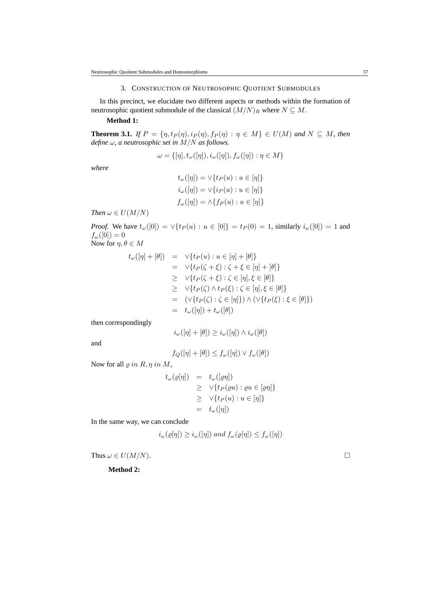### 3. CONSTRUCTION OF NEUTROSOPHIC QUOTIENT SUBMODULES

In this precinct, we elucidate two different aspects or methods within the formation of neutrosophic quotient submodule of the classical  $(M/N)_R$  where  $N \subseteq M$ .

## **Method 1:**

**Theorem 3.1.** *If*  $P = \{\eta, t_P(\eta), i_P(\eta), f_P(\eta) : \eta \in M\} \in U(M)$  *and*  $N \subseteq M$ *, then define* ω*, a neutrosophic set in* M/N *as follows.*

$$
\omega = \{[\eta], t_{\omega}([\eta]), i_{\omega}([\eta]), f_{\omega}([\eta]) : \eta \in M\}
$$

*where*

$$
t_{\omega}([\eta]) = \vee \{ t_P(u) : u \in [\eta] \}
$$
  

$$
i_{\omega}([\eta]) = \vee \{ i_P(u) : u \in [\eta] \}
$$
  

$$
f_{\omega}([\eta]) = \wedge \{ f_P(u) : u \in [\eta] \}
$$

*Then*  $\omega \in U(M/N)$ 

*Proof.* We have  $t_{\omega}([0]) = \vee \{ t_P(u) : u \in [0] \} = t_P(0) = 1$ , similarly  $i_{\omega}([0]) = 1$  and  $f_{\omega}([0])=0$ Now for  $\eta, \theta \in M$ 

$$
t_{\omega}([\eta] + [\theta]) = \vee \{t_P(u) : u \in [\eta] + [\theta]\}
$$
  
\n
$$
= \vee \{t_P(\zeta + \xi) : \zeta + \xi \in [\eta] + [\theta]\}
$$
  
\n
$$
\geq \vee \{t_P(\zeta + \xi) : \zeta \in [\eta], \xi \in [\theta]\}
$$
  
\n
$$
\geq \vee \{t_P(\zeta) \wedge t_P(\xi) : \zeta \in [\eta], \xi \in [\theta]\}
$$
  
\n
$$
= (\vee \{t_P(\zeta) : \zeta \in [\eta]\}) \wedge (\vee \{t_P(\xi) : \xi \in [\theta]\})
$$
  
\n
$$
= t_{\omega}([\eta]) + t_{\omega}([\theta])
$$

then correspondingly

$$
i_{\omega}([\eta] + [\theta]) \geq i_{\omega}([\eta]) \wedge i_{\omega}([\theta])
$$

and

$$
f_Q([\eta] + [\theta]) \le f_\omega([\eta]) \vee f_\omega([\theta])
$$

Now for all  $\rho$  in  $R$ ,  $\eta$  in  $M$ ,

$$
t_{\omega}(\varrho[\eta]) = t_{\omega}([\varrho\eta])
$$
  
\n
$$
\geq \vee\{t_{P}(\varrho u) : \varrho u \in [\varrho\eta]\}
$$
  
\n
$$
\geq \vee\{t_{P}(u) : u \in [\eta]\}
$$
  
\n
$$
= t_{\omega}([\eta])
$$

In the same way, we can conclude

$$
i_{\omega}(\varrho[\eta]) \geq i_{\omega}([\eta])
$$
 and  $f_{\omega}(\varrho[\eta]) \leq f_{\omega}([\eta])$ 

Thus  $\omega \in U(M/N)$ .

**Method 2:**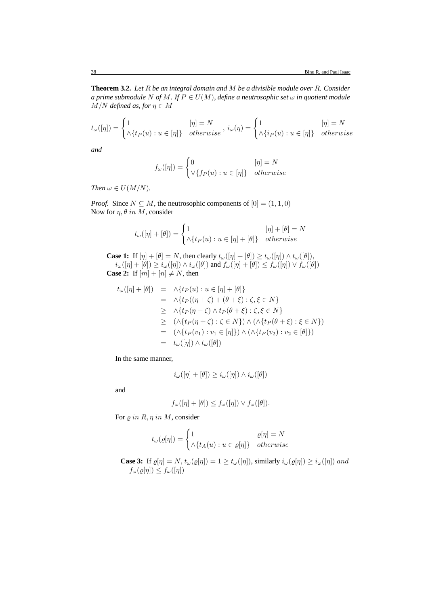**Theorem 3.2.** *Let* R *be an integral domain and* M *be a divisible module over* R*. Consider a prime submodule* N *of* M. If  $P \in U(M)$ , define a neutrosophic set  $\omega$  in quotient module  $M/N$  *defined as, for*  $\eta \in M$ 

$$
t_{\omega}([\eta]) = \begin{cases} 1 & [\eta] = N \\ \wedge \{t_P(u) : u \in [\eta] \} & otherwise \end{cases}, i_{\omega}(\eta) = \begin{cases} 1 & [\eta] = N \\ \wedge \{i_P(u) : u \in [\eta] \} & otherwise \end{cases}
$$

*and*

$$
f_{\omega}([\eta]) = \begin{cases} 0 & [\eta] = N \\ \vee \{ f_P(u) : u \in [\eta] \} & otherwise \end{cases}
$$

*Then*  $\omega \in U(M/N)$ *.* 

*Proof.* Since  $N \subseteq M$ , the neutrosophic components of  $[0] = (1, 1, 0)$ Now for  $\eta$ ,  $\theta$  in M, consider

$$
t_{\omega}([\eta] + [\theta]) = \begin{cases} 1 & [\eta] + [\theta] = N \\ \wedge \{t_P(u) : u \in [\eta] + [\theta] \} & otherwise \end{cases}
$$

**Case 1:** If  $[\eta] + [\theta] = N$ , then clearly  $t_{\omega}([\eta] + [\theta]) \ge t_{\omega}([\eta]) \wedge t_{\omega}([\theta])$ ,  $i_\omega([\eta] + [\theta]) \geq i_\omega([\eta]) \wedge i_\omega([\theta])$  and  $f_\omega([\eta] + [\theta]) \leq f_\omega([\eta]) \vee f_\omega([\theta])$ **Case 2:** If  $[m] + [n] \neq N$ , then

$$
t_{\omega}([\eta] + [\theta]) = \wedge \{t_P(u) : u \in [\eta] + [\theta]\}
$$
  
\n
$$
= \wedge \{t_P((\eta + \zeta) + (\theta + \xi) : \zeta, \xi \in N\})
$$
  
\n
$$
\geq \wedge \{t_P(\eta + \zeta) \wedge t_P(\theta + \xi) : \zeta, \xi \in N\}
$$
  
\n
$$
\geq (\wedge \{t_P(\eta + \zeta) : \zeta \in N\}) \wedge (\wedge \{t_P(\theta + \xi) : \xi \in N\})
$$
  
\n
$$
= (\wedge \{t_P(v_1) : v_1 \in [\eta]\}) \wedge (\wedge \{t_P(v_2) : v_2 \in [\theta]\})
$$
  
\n
$$
= t_{\omega}([\eta]) \wedge t_{\omega}([\theta])
$$

In the same manner,

$$
i_{\omega}([\eta] + [\theta]) \geq i_{\omega}([\eta]) \wedge i_{\omega}([\theta])
$$

and

$$
f_{\omega}([\eta] + [\theta]) \le f_{\omega}([\eta]) \vee f_{\omega}([\theta]).
$$

For  $\rho$  in  $R$ ,  $\eta$  in  $M$ , consider

$$
t_{\omega}(\varrho[\eta]) = \begin{cases} 1 & \varrho[\eta] = N \\ \wedge \{ t_A(u) : u \in \varrho[\eta] \} & otherwise \end{cases}
$$

**Case 3:** If  $\rho[\eta] = N$ ,  $t_{\omega}(\rho[\eta]) = 1 \ge t_{\omega}([\eta])$ , similarly  $i_{\omega}(\rho[\eta]) \ge i_{\omega}([\eta])$  and  $f_{\omega}(\varrho[\eta]) \leq f_{\omega}([\eta])$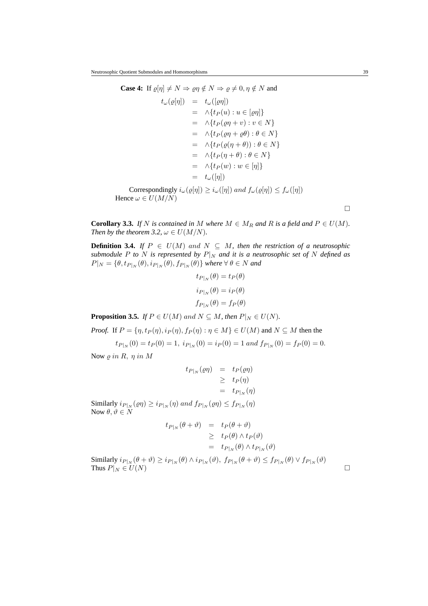Case 4: If 
$$
\varrho[\eta] \neq N \Rightarrow \varrho \eta \notin N \Rightarrow \varrho \neq 0, \eta \notin N
$$
 and  
\n
$$
t_{\omega}(\varrho[\eta]) = t_{\omega}([\varrho \eta])
$$
\n
$$
= \wedge \{t_P(u) : u \in [\varrho \eta]\}
$$
\n
$$
= \wedge \{t_P(\varrho \eta + v) : v \in N\}
$$
\n
$$
= \wedge \{t_P(\varrho \eta + \varrho \theta) : \theta \in N\}
$$
\n
$$
= \wedge \{t_P(\varrho(\eta + \theta)) : \theta \in N\}
$$
\n
$$
= \wedge \{t_P(\eta + \theta) : \theta \in N\}
$$
\n
$$
= \wedge \{t_P(w) : w \in [\eta]\}
$$
\n
$$
= t_{\omega}([\eta])
$$
\nCorrespondingly  $i_{\omega}(\varrho[\eta]) \geq i_{\omega}([\eta])$  and  $f_{\omega}(\varrho[\eta]) \leq f_{\omega}([\eta])$   
\nHence  $\omega \in U(M/N)$ 

**Corollary 3.3.** *If* N *is contained in* M where  $M \in M_R$  *and* R *is a field and*  $P \in U(M)$ *. Then by the theorem 3.2,*  $\omega \in U(M/N)$ *.* 

**Definition 3.4.** *If*  $P \in U(M)$  and  $N \subseteq M$ , then the restriction of a neutrosophic *submodule P* to *N is represented by*  $P|_N$  *and it is a neutrosophic set of N defined as*  $P|_N = \{\theta, t_{P|_N}(\theta), i_{P|_N}(\theta), f_{P|_N}(\theta)\}\$  where  $\forall \theta \in N$  and

$$
t_{P|N}(\theta) = t_P(\theta)
$$
  

$$
i_{P|N}(\theta) = i_P(\theta)
$$
  

$$
f_{P|N}(\theta) = f_P(\theta)
$$

**Proposition 3.5.** *If*  $P \in U(M)$  and  $N \subseteq M$ *, then*  $P|_N \in U(N)$ *.* 

*Proof.* If 
$$
P = \{\eta, t_P(\eta), i_P(\eta), f_P(\eta) : \eta \in M\} \in U(M)
$$
 and  $N \subseteq M$  then the

$$
t_{P|N}(0) = t_P(0) = 1
$$
,  $i_{P|N}(0) = i_P(0) = 1$  and  $f_{P|N}(0) = f_P(0) = 0$ .

Now  $\rho$  in R,  $\eta$  in M

$$
t_{P|_N}(\varrho\eta) = t_P(\varrho\eta)
$$
  
\n
$$
\geq t_P(\eta)
$$
  
\n
$$
= t_{P|_N}(\eta)
$$

Similarly  $i_{P|_N}(\varrho \eta) \geq i_{P|_N}(\eta)$  and  $f_{P|_N}(\varrho \eta) \leq f_{P|_N}(\eta)$ Now  $\theta, \vartheta \in N$ 

$$
t_{P|N}(\theta + \vartheta) = t_P(\theta + \vartheta)
$$
  
\n
$$
\geq t_P(\theta) \wedge t_P(\vartheta)
$$
  
\n
$$
= t_{P|N}(\theta) \wedge t_{P|N}(\vartheta)
$$

Similarly  $i_{P|_N}(\theta + \vartheta) \geq i_{P|_N}(\theta) \wedge i_{P|_N}(\vartheta), f_{P|_N}(\theta + \vartheta) \leq f_{P|_N}(\theta) \vee f_{P|_N}(\vartheta)$ Thus  $P|_N \in U(N)$ 

 $\hfill \square$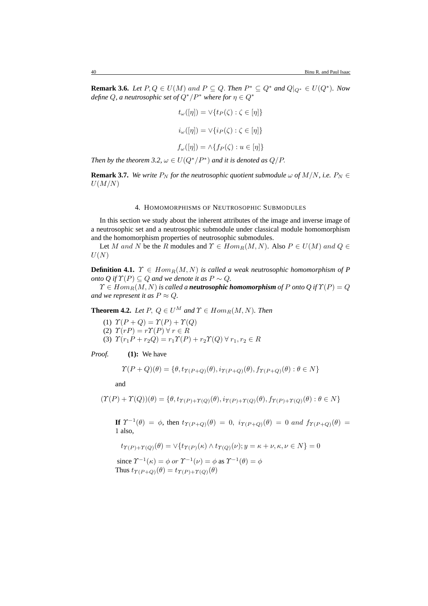**Remark 3.6.** *Let*  $P, Q \in U(M)$  and  $P \subseteq Q$ . *Then*  $P^* \subseteq Q^*$  *and*  $Q|_{Q^*} \in U(Q^*)$ *. Now define*  $Q$ , *a neutrosophic set of*  $Q^*/P^*$  *where for*  $\eta \in Q^*$ 

$$
t_{\omega}([\eta]) = \vee \{ t_P(\zeta) : \zeta \in [\eta] \}
$$
  

$$
i_{\omega}([\eta]) = \vee \{ i_P(\zeta) : \zeta \in [\eta] \}
$$
  

$$
f_{\omega}([\eta]) = \wedge \{ f_P(\zeta) : u \in [\eta] \}
$$

*Then by the theorem 3.2,*  $\omega \in U(Q^*/P^*)$  *and it is denoted as*  $Q/P$ *.* 

**Remark 3.7.** *We write*  $P_N$  *for the neutrosophic quotient submodule*  $\omega$  *of*  $M/N$ *, i.e.*  $P_N \in$  $U(M/N)$ 

#### 4. HOMOMORPHISMS OF NEUTROSOPHIC SUBMODULES

In this section we study about the inherent attributes of the image and inverse image of a neutrosophic set and a neutrosophic submodule under classical module homomorphism and the homomorphism properties of neutrosophic submodules.

Let M and N be the R modules and  $\Upsilon \in Hom_R(M, N)$ . Also  $P \in U(M)$  and  $Q \in$  $U(N)$ 

**Definition 4.1.**  $\Upsilon \in Hom_R(M, N)$  *is called a weak neutrosophic homomorphism of* P *onto Q if*  $\Upsilon(P) \subseteq Q$  *and we denote it as*  $P \sim Q$ *.* 

 $\Upsilon \in Hom_B(M, N)$  *is called a neutrosophic homomorphism of P onto Q if*  $\Upsilon(P) = Q$ *and we represent it as*  $P \approx Q$ *.* 

**Theorem 4.2.** *Let*  $P$ ,  $Q \in U^M$  *and*  $\Upsilon \in Hom_R(M, N)$ *. Then* 

- (1)  $\Upsilon(P+Q) = \Upsilon(P) + \Upsilon(Q)$
- (2)  $\Upsilon(r) = r\Upsilon(P) \forall r \in R$
- (3)  $\Upsilon(r_1P + r_2Q) = r_1\Upsilon(P) + r_2\Upsilon(Q) \,\forall\, r_1, r_2 \in R$

*Proof.* **(1):** We have

$$
\Upsilon(P+Q)(\theta) = \{ \theta, t_{\Upsilon(P+Q)}(\theta), i_{\Upsilon(P+Q)}(\theta), f_{\Upsilon(P+Q)}(\theta) : \theta \in N \}
$$

and

$$
(\Upsilon(P) + \Upsilon(Q))(\theta) = \{ \theta, t_{\Upsilon(P) + \Upsilon(Q)}(\theta), i_{\Upsilon(P) + \Upsilon(Q)}(\theta), f_{\Upsilon(P) + \Upsilon(Q)}(\theta) : \theta \in N \}
$$

**If**  $\Upsilon^{-1}(\theta) = \phi$ , then  $t_{\Upsilon(P+Q)}(\theta) = 0$ ,  $i_{\Upsilon(P+Q)}(\theta) = 0$  and  $f_{\Upsilon(P+Q)}(\theta) = 0$ 1 also,

 $t_{\Upsilon(P)+\Upsilon(Q)}(\theta) = \vee \{ t_{\Upsilon(P)}(\kappa) \wedge t_{\Upsilon(Q)}(\nu) ; y = \kappa + \nu, \kappa, \nu \in N \} = 0$ 

since  $\Upsilon^{-1}(\kappa) = \phi$  or  $\Upsilon^{-1}(\nu) = \phi$  as  $\Upsilon^{-1}(\theta) = \phi$ Thus  $t_{\Upsilon(P+Q)}(\theta) = t_{\Upsilon(P)+\Upsilon(Q)}(\theta)$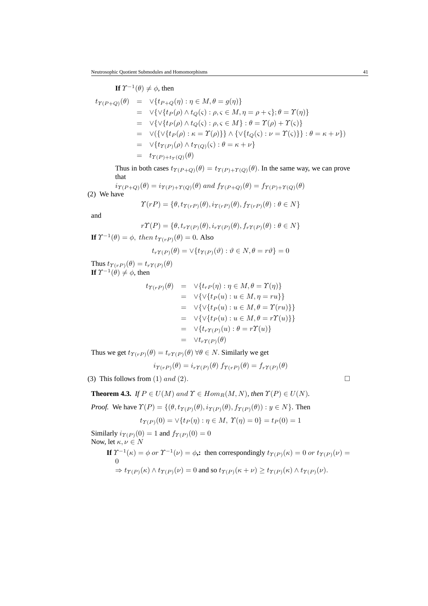If 
$$
\Upsilon^{-1}(\theta) \neq \phi
$$
, then  
\n
$$
t_{\Upsilon(P+Q)}(\theta) = \vee \{t_{P+Q}(\eta) : \eta \in M, \theta = g(\eta)\}
$$
\n
$$
= \vee \{\vee \{t_P(\rho) \wedge t_Q(\varsigma) : \rho, \varsigma \in M, \eta = \rho + \varsigma\}; \theta = \Upsilon(\eta)\}
$$
\n
$$
= \vee \{\vee \{t_P(\rho) \wedge t_Q(\varsigma) : \rho, \varsigma \in M\} : \theta = \Upsilon(\rho) + \Upsilon(\varsigma)\}
$$
\n
$$
= \vee (\{\vee \{t_P(\rho) : \kappa = \Upsilon(\rho)\}\} \wedge \{\vee \{t_Q(\varsigma) : \nu = \Upsilon(\varsigma)\}\} : \theta = \kappa + \nu\})
$$
\n
$$
= \vee \{t_{\Upsilon(P)}(\rho) \wedge t_{\Upsilon(Q)}(\varsigma) : \theta = \kappa + \nu\}
$$
\n
$$
= t_{\Upsilon(P)+t_{\Upsilon}(Q)}(\theta)
$$

Thus in both cases  $t_{\Upsilon(P+Q)}(\theta) = t_{\Upsilon(P)+\Upsilon(Q)}(\theta)$ . In the same way, we can prove that

$$
i_{\Upsilon(P+Q)}(\theta) = i_{\Upsilon(P)+\Upsilon(Q)}(\theta) \text{ and } f_{\Upsilon(P+Q)}(\theta) = f_{\Upsilon(P)+\Upsilon(Q)}(\theta)
$$
  
We have

$$
\Upsilon(rP) = \{ \theta, t_{\Upsilon(rP)}(\theta), i_{\Upsilon(rP)}(\theta), f_{\Upsilon(rP)}(\theta) : \theta \in N \}
$$

and

 $(2)$ 

$$
r\Upsilon(P) = \{ \theta, t_{r\Upsilon(P)}(\theta), i_{r\Upsilon(P)}(\theta), f_{r\Upsilon(P)}(\theta) : \theta \in N \}
$$

**If**  $\Upsilon^{-1}(\theta) = \phi$ , then  $t_{\Upsilon(r)}(\theta) = 0$ . Also

$$
t_{r\Upsilon(P)}(\theta) = \vee \{ t_{\Upsilon(P)}(\vartheta) : \vartheta \in N, \theta = r\vartheta \} = 0
$$

Thus  $t_{\Upsilon(rP)}(\theta) = t_{r\Upsilon(P)}(\theta)$ **If**  $\Upsilon^{-1}(\theta) \neq \phi$ , then

$$
t_{\Upsilon(rP)}(\theta) = \vee \{t_{rP}(\eta) : \eta \in M, \theta = \Upsilon(\eta)\}
$$
  
\n
$$
= \vee \{\vee \{t_P(u) : u \in M, \eta = ru\}\}
$$
  
\n
$$
= \vee \{\vee \{t_P(u) : u \in M, \theta = \Upsilon(ru)\}\}
$$
  
\n
$$
= \vee \{\vee \{t_P(u) : u \in M, \theta = r\Upsilon(u)\}\}
$$
  
\n
$$
= \vee \{t_{r\Upsilon(P)}(u) : \theta = r\Upsilon(u)\}
$$
  
\n
$$
= \vee t_{r\Upsilon(P)}(\theta)
$$

Thus we get  $t_{\Upsilon(rP)}(\theta) = t_{r\Upsilon(P)}(\theta) \,\forall \theta \in N$ . Similarly we get

$$
i_{\Upsilon(rP)}(\theta) = i_{r\Upsilon(P)}(\theta) f_{\Upsilon(rP)}(\theta) = f_{r\Upsilon(P)}(\theta)
$$

(3) This follows from (1) and (2).  $\Box$ 

**Theorem 4.3.** *If*  $P \in U(M)$  and  $\Upsilon \in Hom_R(M, N)$ *, then*  $\Upsilon(P) \in U(N)$ *.* 

*Proof.* We have  $\Upsilon(P) = \{(\theta, t_{\Upsilon(P)}(\theta), i_{\Upsilon(P)}(\theta), f_{\Upsilon(P)}(\theta)) : y \in N\}$ . Then

$$
t_{\Upsilon(P)}(0) = \vee \{ t_P(\eta) : \eta \in M, \ \Upsilon(\eta) = 0 \} = t_P(0) = 1
$$

Similarly  $i_{\Upsilon(P)}(0) = 1$  and  $f_{\Upsilon(P)}(0) = 0$ Now, let  $\kappa, \nu \in N$ 

> **If**  $\Upsilon^{-1}(\kappa) = \phi$  or  $\Upsilon^{-1}(\nu) = \phi$ ,: then correspondingly  $t_{\Upsilon(P)}(\kappa) = 0$  or  $t_{\Upsilon(P)}(\nu) =$ 0  $\Rightarrow t_{\Upsilon(P)}(\kappa) \wedge t_{\Upsilon(P)}(\nu) = 0$  and so  $t_{\Upsilon(P)}(\kappa + \nu) \ge t_{\Upsilon(P)}(\kappa) \wedge t_{\Upsilon(P)}(\nu)$ .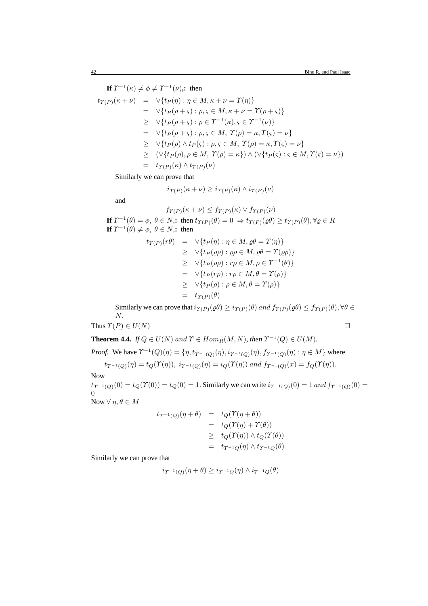**If**  $\Upsilon^{-1}(\kappa) \neq \phi \neq \Upsilon^{-1}(\nu)$ , then  $t_{\Upsilon(P)}(\kappa + \nu) = \sqrt{t_P(\eta) : \eta \in M, \kappa + \nu = \Upsilon(\eta)}$  $= \sqrt{\{t_P(\rho + \varsigma) : \rho, \varsigma \in M, \kappa + \nu = \Upsilon(\rho + \varsigma)\}}$  $\geq \quad \forall \{t_P(\rho+\varsigma): \rho \in \Upsilon^{-1}(\kappa), \varsigma \in \Upsilon^{-1}(\nu)\}\$  $= \forall \{ t_P(\rho + \varsigma) : \rho, \varsigma \in M, \ \Upsilon(\rho) = \kappa, \Upsilon(\varsigma) = \nu \}$  $\triangleright \ \ \forall \{t_P(\rho) \wedge t_P(\varsigma) : \rho, \varsigma \in M, \ \mathcal{T}(\rho) = \kappa, \mathcal{T}(\varsigma) = \nu\}$  $\geq (\forall \{t_P(\rho), \rho \in M, \gamma(\rho) = \kappa\}) \wedge (\forall \{t_P(\varsigma) : \varsigma \in M, \gamma(\varsigma) = \nu\})$  $=$   $t_{\Upsilon(P)}(\kappa) \wedge t_{\Upsilon(P)}(\nu)$ 

Similarly we can prove that

$$
i_{\Upsilon(P)}(\kappa+\nu) \geq i_{\Upsilon(P)}(\kappa) \wedge i_{\Upsilon(P)}(\nu)
$$

and

$$
f_{\Upsilon(P)}(\kappa + \nu) \le f_{\Upsilon(P)}(\kappa) \vee f_{\Upsilon(P)}(\nu)
$$
  
\nIf  $\Upsilon^{-1}(\theta) = \phi$ ,  $\theta \in N$ , then  $t_{\Upsilon(P)}(\theta) = 0 \Rightarrow t_{\Upsilon(P)}(\varrho \theta) \ge t_{\Upsilon(P)}(\theta)$ ,  $\forall \varrho \in R$   
\nIf  $\Upsilon^{-1}(\theta) \ne \phi$ ,  $\theta \in N$ , then

$$
t_{\Upsilon(P)}(r\theta) = \vee \{t_P(\eta) : \eta \in M, \varrho\theta = \Upsilon(\eta)\}
$$
  
\n
$$
\geq \vee \{t_P(\varrho\rho) : \varrho\rho \in M, \varrho\theta = \Upsilon(\varrho\rho)\}
$$
  
\n
$$
\geq \vee \{t_P(\varrho\rho) : r\rho \in M, \rho \in \Upsilon^{-1}(\theta)\}
$$
  
\n
$$
= \vee \{t_P(r\rho) : r\rho \in M, \theta = \Upsilon(\rho)\}
$$
  
\n
$$
\geq \vee \{t_P(\rho) : \rho \in M, \theta = \Upsilon(\rho)\}
$$
  
\n
$$
= t_{\Upsilon(P)}(\theta)
$$

Similarly we can prove that  $i_{\Upsilon(P)}(\varrho\theta) \geq i_{\Upsilon(P)}(\theta)$  and  $f_{\Upsilon(P)}(\varrho\theta) \leq f_{\Upsilon(P)}(\theta), \forall \theta \in$ N.

Thus 
$$
\Upsilon(P) \in U(N)
$$

**Theorem 4.4.** *If*  $Q \in U(N)$  and  $\Upsilon \in Hom_R(M, N)$ *, then*  $\Upsilon^{-1}(Q) \in U(M)$ *.* 

*Proof.* We have  $\Upsilon^{-1}(Q)(\eta) = \{\eta, t_{\Upsilon^{-1}(Q)}(\eta), i_{\Upsilon^{-1}(Q)}(\eta), f_{\Upsilon^{-1}(Q)}(\eta) : \eta \in M\}$  where  $t_{\Upsilon^{-1}(Q)}(\eta) = t_Q(\Upsilon(\eta)), i_{\Upsilon^{-1}(Q)}(\eta) = i_Q(\Upsilon(\eta))$  and  $f_{\Upsilon^{-1}(Q)}(x) = f_Q(\Upsilon(\eta)).$ 

Now  $t_{\gamma^{-1}(Q)}(0) = t_Q(\gamma(0)) = t_Q(0) = 1$ . Similarly we can write  $i_{\gamma^{-1}(Q)}(0) = 1$  and  $f_{\gamma^{-1}(Q)}(0) = t_Q(0)$  $\Omega$ Now  $\forall \eta, \theta \in M$ 

$$
t_{\Upsilon^{-1}(Q)}(\eta + \theta) = t_Q(\Upsilon(\eta + \theta))
$$
  
=  $t_Q(\Upsilon(\eta) + \Upsilon(\theta))$   
 $\geq t_Q(\Upsilon(\eta)) \wedge t_Q(\Upsilon(\theta))$   
=  $t_{\Upsilon^{-1}(Q)}(\eta) \wedge t_{\Upsilon^{-1}(Q)}(\theta)$ 

Similarly we can prove that

$$
i_{\Upsilon^{-1}(Q)}(\eta+\theta) \geq i_{\Upsilon^{-1}Q}(\eta) \wedge i_{\Upsilon^{-1}Q}(\theta)
$$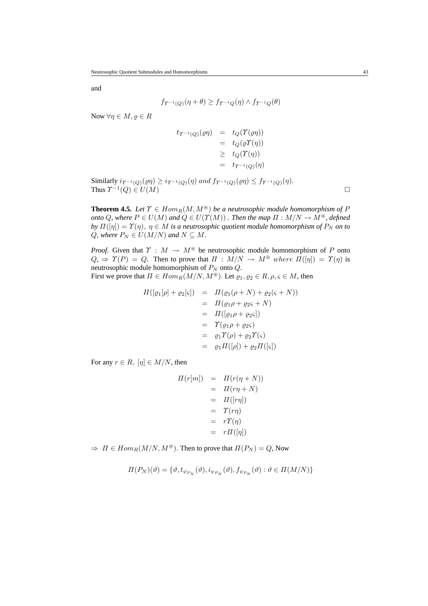and

$$
f_{\Upsilon^{-1}(Q)}(\eta+\theta) \ge f_{\Upsilon^{-1}Q}(\eta) \wedge f_{\Upsilon^{-1}Q}(\theta)
$$

Now  $\forall \eta \in M, \varrho \in R$ 

$$
t_{\Upsilon^{-1}(Q)}(\varrho\eta) = t_Q(\Upsilon(\varrho\eta))
$$
  
=  $t_Q(\varrho\Upsilon(\eta))$   
 $\geq t_Q(\Upsilon(\eta))$   
=  $t_{\Upsilon^{-1}(Q)}(\eta)$ 

Similarly  $i_{\Upsilon^{-1}(Q)}(\varrho\eta) \geq i_{\Upsilon^{-1}(Q)}(\eta)$  and  $f_{\Upsilon^{-1}(Q)}(\varrho\eta) \leq f_{\Upsilon^{-1}(Q)}(\eta)$ . Thus  $\Upsilon^{-1}(Q) \in U(M)$ 

**Theorem 4.5.** *Let*  $\Upsilon \in Hom_R(M, M^{\circledast})$  *be a neutrosophic module homomorphism of* P *onto* Q, where  $P \in U(M)$  and  $Q \in U(\Upsilon(M))$  *. Then the map*  $\Pi : M/N \to M^{\circledast}$ *, defined by*  $\Pi([\eta]) = \Upsilon(\eta)$ ,  $\eta \in M$  *is a neutrosophic quotient module homomorphism of*  $P_N$  *on to* Q, where  $P_N \in U(M/N)$  and  $N \subseteq M$ .

*Proof.* Given that  $\Upsilon : M \to M^*$  be neutrosophic module homomorphism of P onto  $Q_{\mathcal{H}} \Rightarrow \Upsilon(P) = Q$ . Then to prove that  $\Pi : M/N \to M^{\circledast}$  where  $\Pi([\eta]) = \Upsilon(\eta)$  is neutrosophic module homomorphism of  $P_N$  onto  $Q$ . First we prove that  $\Pi \in Hom_R(M/N, M^{\circledast})$ . Let  $\rho_1, \rho_2 \in R, \rho, \varsigma \in M$ , then

$$
\Pi([\varrho_1[\rho] + \varrho_2[\varsigma]) = \Pi(\varrho_1(\rho + N) + \varrho_2(\varsigma + N)) \n= \Pi(\varrho_1 \rho + \varrho_2 \varsigma + N) \n= \Pi([\varrho_1 \rho + \varrho_2 \varsigma]) \n= \Upsilon(\varrho_1 \rho + \varrho_2 \varsigma) \n= \varrho_1 \Upsilon(\rho) + \varrho_2 \Upsilon(\varsigma) \n= \varrho_1 \Pi([\rho]) + \varrho_2 \Pi([\varsigma])
$$

For any  $r \in R$ ,  $[\eta] \in M/N$ , then

$$
H(r[m]) = H(r(\eta + N))
$$
  
=  $H(r\eta + N)$   
=  $H([r\eta])$   
=  $T(r\eta)$   
=  $rT(\eta)$   
=  $rH([\eta])$ 

 $\Rightarrow \Pi \in Hom_R(M/N, M^*)$ . Then to prove that  $\Pi(P_N) = Q$ , Now

$$
\Pi(P_N)(\vartheta) = \{ \vartheta, t_{\psi_{P_N}}(\vartheta), i_{\psi_{P_N}}(\vartheta), f_{\psi_{P_N}}(\vartheta) : \vartheta \in \Pi(M/N) \}
$$